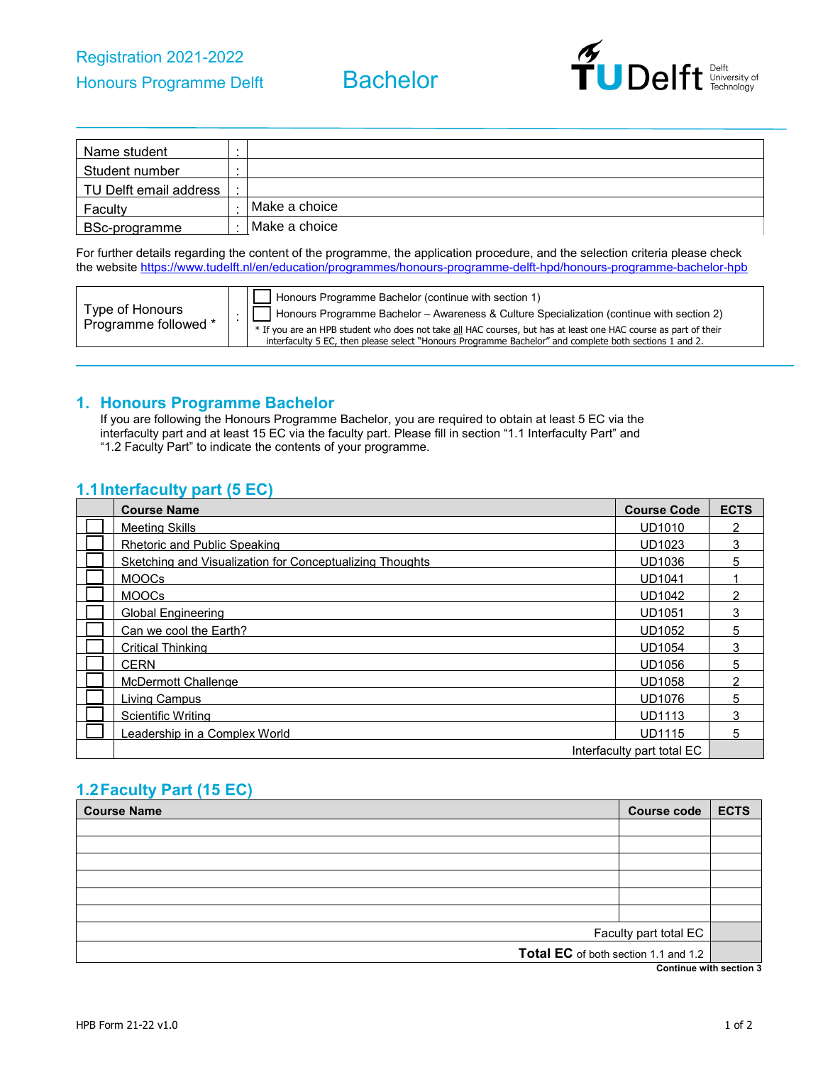

| Name student           | . . |               |
|------------------------|-----|---------------|
| Student number         |     |               |
| TU Delft email address |     |               |
| Faculty                |     | Make a choice |
| BSc-programme          |     | Make a choice |

For further details regarding the content of the programme, the application procedure, and the selection criteria please check the websit[e https://www.tudelft.nl/en/education/programmes/honours-programme-delft-hpd/honours-programme-bachelor-hpb](https://www.tudelft.nl/en/education/programmes/honours-programme-delft-hpd/honours-programme-bachelor-hpb)

| Type of Honours      | Honours Programme Bachelor (continue with section 1)<br>  Honours Programme Bachelor - Awareness & Culture Specialization (continue with section 2)                                                                       |
|----------------------|---------------------------------------------------------------------------------------------------------------------------------------------------------------------------------------------------------------------------|
| Programme followed * | * If you are an HPB student who does not take all HAC courses, but has at least one HAC course as part of their<br>interfaculty 5 EC, then please select "Honours Programme Bachelor" and complete both sections 1 and 2. |

#### **1. Honours Programme Bachelor**

If you are following the Honours Programme Bachelor, you are required to obtain at least 5 EC via the interfaculty part and at least 15 EC via the faculty part. Please fill in section "1.1 Interfaculty Part" and "1.2 Faculty Part" to indicate the contents of your programme.

### **1.1Interfaculty part (5 EC)**

| <b>Course Name</b>                                       | <b>Course Code</b>         | <b>ECTS</b> |
|----------------------------------------------------------|----------------------------|-------------|
| <b>Meeting Skills</b>                                    | <b>UD1010</b>              | 2           |
| Rhetoric and Public Speaking                             | <b>UD1023</b>              | 3           |
| Sketching and Visualization for Conceptualizing Thoughts | UD1036                     | 5           |
| <b>MOOCs</b>                                             | <b>UD1041</b>              |             |
| <b>MOOCs</b>                                             | <b>UD1042</b>              | 2           |
| <b>Global Engineering</b>                                | <b>UD1051</b>              | 3           |
| Can we cool the Earth?                                   | <b>UD1052</b>              | 5.          |
| <b>Critical Thinking</b>                                 | <b>UD1054</b>              | 3           |
| <b>CERN</b>                                              | UD1056                     | 5           |
| <b>McDermott Challenge</b>                               | <b>UD1058</b>              | 2           |
| Living Campus                                            | <b>UD1076</b>              | 5           |
| Scientific Writing                                       | <b>UD1113</b>              | 3           |
| Leadership in a Complex World                            | <b>UD1115</b>              | 5           |
|                                                          | Interfaculty part total EC |             |

# **1.2Faculty Part (15 EC)**

| <b>Course Name</b><br><b>Course code</b>                                                                                                               | <b>ECTS</b> |
|--------------------------------------------------------------------------------------------------------------------------------------------------------|-------------|
|                                                                                                                                                        |             |
|                                                                                                                                                        |             |
|                                                                                                                                                        |             |
|                                                                                                                                                        |             |
|                                                                                                                                                        |             |
|                                                                                                                                                        |             |
| Faculty part total EC                                                                                                                                  |             |
| Total EC of both section 1.1 and 1.2<br>A contract the contract of the contract of the contract of the contract of the contract of the contract of the |             |

**Continue with section 3**